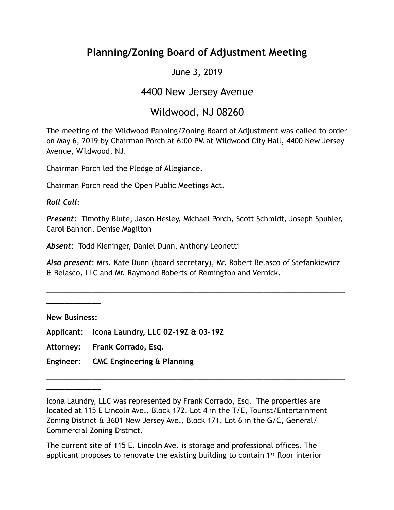# **Planning/Zoning Board of Adjustment Meeting**

June 3, 2019

### 4400 New Jersey Avenue

## Wildwood, NJ 08260

The meeting of the Wildwood Panning/Zoning Board of Adjustment was called to order on May 6, 2019 by Chairman Porch at 6:00 PM at Wildwood City Hall, 4400 New Jersey Avenue, Wildwood, NJ.

Chairman Porch led the Pledge of Allegiance.

Chairman Porch read the Open Public Meetings Act.

*Roll Call*:

*Present*: Timothy Blute, Jason Hesley, Michael Porch, Scott Schmidt, Joseph Spuhler, Carol Bannon, Denise Magilton

*Absent*: Todd Kieninger, Daniel Dunn, Anthony Leonetti

*Also present*: Mrs. Kate Dunn (board secretary), Mr. Robert Belasco of Stefankiewicz & Belasco, LLC and Mr. Raymond Roberts of Remington and Vernick.

**\_\_\_\_\_\_\_\_\_\_\_\_\_\_\_\_\_\_\_\_\_\_\_\_\_\_\_\_\_\_\_\_\_\_\_\_\_\_\_\_\_\_\_\_\_\_\_\_\_\_\_\_\_\_\_\_\_\_\_\_\_\_\_\_\_\_**

**New Business:** 

**\_\_\_\_\_\_\_\_\_\_\_\_** 

**\_\_\_\_\_\_\_\_\_\_\_\_** 

**Applicant: Icona Laundry, LLC 02-19Z & 03-19Z** 

**Attorney: Frank Corrado, Esq.** 

**Engineer: CMC Engineering & Planning** 

Icona Laundry, LLC was represented by Frank Corrado, Esq. The properties are located at 115 E Lincoln Ave., Block 172, Lot 4 in the T/E, Tourist/Entertainment Zoning District & 3601 New Jersey Ave., Block 171, Lot 6 in the G/C, General/ Commercial Zoning District.

**\_\_\_\_\_\_\_\_\_\_\_\_\_\_\_\_\_\_\_\_\_\_\_\_\_\_\_\_\_\_\_\_\_\_\_\_\_\_\_\_\_\_\_\_\_\_\_\_\_\_\_\_\_\_\_\_\_\_\_\_\_\_\_\_\_\_**

The current site of 115 E. Lincoln Ave. is storage and professional offices. The applicant proposes to renovate the existing building to contain 1st floor interior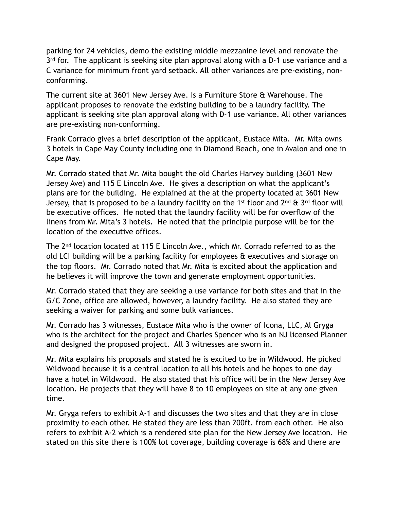parking for 24 vehicles, demo the existing middle mezzanine level and renovate the 3<sup>rd</sup> for. The applicant is seeking site plan approval along with a D-1 use variance and a C variance for minimum front yard setback. All other variances are pre-existing, nonconforming.

The current site at 3601 New Jersey Ave. is a Furniture Store & Warehouse. The applicant proposes to renovate the existing building to be a laundry facility. The applicant is seeking site plan approval along with D-1 use variance. All other variances are pre-existing non-conforming.

Frank Corrado gives a brief description of the applicant, Eustace Mita. Mr. Mita owns 3 hotels in Cape May County including one in Diamond Beach, one in Avalon and one in Cape May.

Mr. Corrado stated that Mr. Mita bought the old Charles Harvey building (3601 New Jersey Ave) and 115 E Lincoln Ave. He gives a description on what the applicant's plans are for the building. He explained at the at the property located at 3601 New Jersey, that is proposed to be a laundry facility on the 1<sup>st</sup> floor and  $2^{nd}$  &  $3^{rd}$  floor will be executive offices. He noted that the laundry facility will be for overflow of the linens from Mr. Mita's 3 hotels. He noted that the principle purpose will be for the location of the executive offices.

The 2nd location located at 115 E Lincoln Ave., which Mr. Corrado referred to as the old LCI building will be a parking facility for employees & executives and storage on the top floors. Mr. Corrado noted that Mr. Mita is excited about the application and he believes it will improve the town and generate employment opportunities.

Mr. Corrado stated that they are seeking a use variance for both sites and that in the G/C Zone, office are allowed, however, a laundry facility. He also stated they are seeking a waiver for parking and some bulk variances.

Mr. Corrado has 3 witnesses, Eustace Mita who is the owner of Icona, LLC, Al Gryga who is the architect for the project and Charles Spencer who is an NJ licensed Planner and designed the proposed project. All 3 witnesses are sworn in.

Mr. Mita explains his proposals and stated he is excited to be in Wildwood. He picked Wildwood because it is a central location to all his hotels and he hopes to one day have a hotel in Wildwood. He also stated that his office will be in the New Jersey Ave location. He projects that they will have 8 to 10 employees on site at any one given time.

Mr. Gryga refers to exhibit A-1 and discusses the two sites and that they are in close proximity to each other. He stated they are less than 200ft. from each other. He also refers to exhibit A-2 which is a rendered site plan for the New Jersey Ave location. He stated on this site there is 100% lot coverage, building coverage is 68% and there are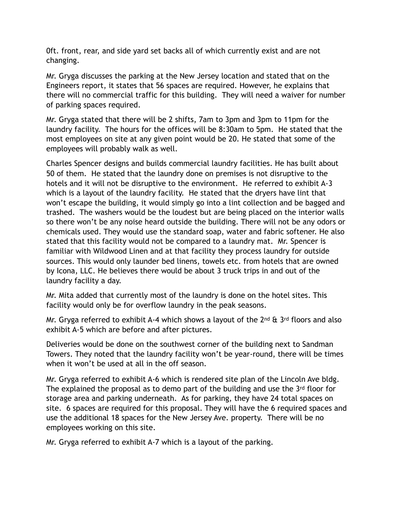0ft. front, rear, and side yard set backs all of which currently exist and are not changing.

Mr. Gryga discusses the parking at the New Jersey location and stated that on the Engineers report, it states that 56 spaces are required. However, he explains that there will no commercial traffic for this building. They will need a waiver for number of parking spaces required.

Mr. Gryga stated that there will be 2 shifts, 7am to 3pm and 3pm to 11pm for the laundry facility. The hours for the offices will be 8:30am to 5pm. He stated that the most employees on site at any given point would be 20. He stated that some of the employees will probably walk as well.

Charles Spencer designs and builds commercial laundry facilities. He has built about 50 of them. He stated that the laundry done on premises is not disruptive to the hotels and it will not be disruptive to the environment. He referred to exhibit A-3 which is a layout of the laundry facility. He stated that the dryers have lint that won't escape the building, it would simply go into a lint collection and be bagged and trashed. The washers would be the loudest but are being placed on the interior walls so there won't be any noise heard outside the building. There will not be any odors or chemicals used. They would use the standard soap, water and fabric softener. He also stated that this facility would not be compared to a laundry mat. Mr. Spencer is familiar with Wildwood Linen and at that facility they process laundry for outside sources. This would only launder bed linens, towels etc. from hotels that are owned by Icona, LLC. He believes there would be about 3 truck trips in and out of the laundry facility a day.

Mr. Mita added that currently most of the laundry is done on the hotel sites. This facility would only be for overflow laundry in the peak seasons.

Mr. Gryga referred to exhibit A-4 which shows a layout of the  $2^{nd}$  &  $3^{rd}$  floors and also exhibit A-5 which are before and after pictures.

Deliveries would be done on the southwest corner of the building next to Sandman Towers. They noted that the laundry facility won't be year-round, there will be times when it won't be used at all in the off season.

Mr. Gryga referred to exhibit A-6 which is rendered site plan of the Lincoln Ave bldg. The explained the proposal as to demo part of the building and use the 3rd floor for storage area and parking underneath. As for parking, they have 24 total spaces on site. 6 spaces are required for this proposal. They will have the 6 required spaces and use the additional 18 spaces for the New Jersey Ave. property. There will be no employees working on this site.

Mr. Gryga referred to exhibit A-7 which is a layout of the parking.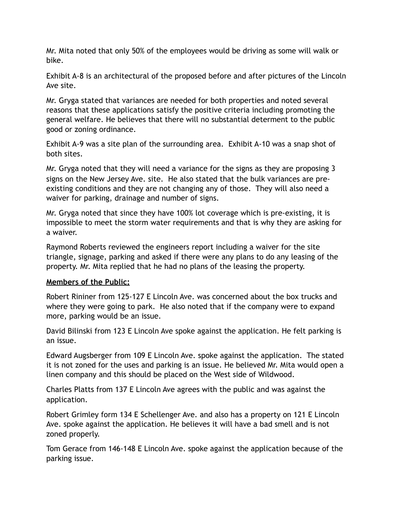Mr. Mita noted that only 50% of the employees would be driving as some will walk or bike.

Exhibit A-8 is an architectural of the proposed before and after pictures of the Lincoln Ave site.

Mr. Gryga stated that variances are needed for both properties and noted several reasons that these applications satisfy the positive criteria including promoting the general welfare. He believes that there will no substantial determent to the public good or zoning ordinance.

Exhibit A-9 was a site plan of the surrounding area. Exhibit A-10 was a snap shot of both sites.

Mr. Gryga noted that they will need a variance for the signs as they are proposing 3 signs on the New Jersey Ave. site. He also stated that the bulk variances are preexisting conditions and they are not changing any of those. They will also need a waiver for parking, drainage and number of signs.

Mr. Gryga noted that since they have 100% lot coverage which is pre-existing, it is impossible to meet the storm water requirements and that is why they are asking for a waiver.

Raymond Roberts reviewed the engineers report including a waiver for the site triangle, signage, parking and asked if there were any plans to do any leasing of the property. Mr. Mita replied that he had no plans of the leasing the property.

### **Members of the Public:**

Robert Rininer from 125-127 E Lincoln Ave. was concerned about the box trucks and where they were going to park. He also noted that if the company were to expand more, parking would be an issue.

David Bilinski from 123 E Lincoln Ave spoke against the application. He felt parking is an issue.

Edward Augsberger from 109 E Lincoln Ave. spoke against the application. The stated it is not zoned for the uses and parking is an issue. He believed Mr. Mita would open a linen company and this should be placed on the West side of Wildwood.

Charles Platts from 137 E Lincoln Ave agrees with the public and was against the application.

Robert Grimley form 134 E Schellenger Ave. and also has a property on 121 E Lincoln Ave. spoke against the application. He believes it will have a bad smell and is not zoned properly.

Tom Gerace from 146-148 E Lincoln Ave. spoke against the application because of the parking issue.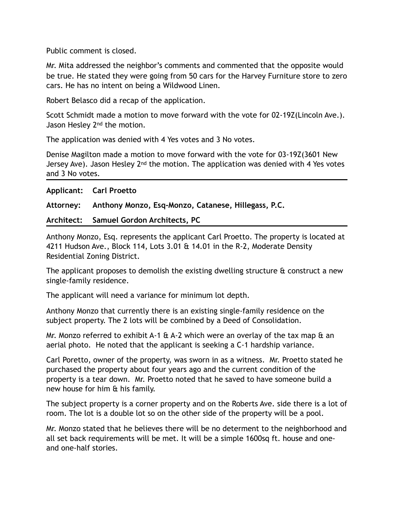Public comment is closed.

Mr. Mita addressed the neighbor's comments and commented that the opposite would be true. He stated they were going from 50 cars for the Harvey Furniture store to zero cars. He has no intent on being a Wildwood Linen.

Robert Belasco did a recap of the application.

Scott Schmidt made a motion to move forward with the vote for 02-19Z(Lincoln Ave.). Jason Hesley 2<sup>nd</sup> the motion.

The application was denied with 4 Yes votes and 3 No votes.

Denise Magilton made a motion to move forward with the vote for 03-19Z(3601 New Jersey Ave). Jason Hesley 2nd the motion. The application was denied with 4 Yes votes and 3 No votes.

| Applicant: | <b>Carl Proetto</b> |
|------------|---------------------|
|------------|---------------------|

**Attorney: Anthony Monzo, Esq-Monzo, Catanese, Hillegass, P.C.** 

**Architect: Samuel Gordon Architects, PC** 

Anthony Monzo, Esq. represents the applicant Carl Proetto. The property is located at 4211 Hudson Ave., Block 114, Lots 3.01 & 14.01 in the R-2, Moderate Density Residential Zoning District.

The applicant proposes to demolish the existing dwelling structure & construct a new single-family residence.

The applicant will need a variance for minimum lot depth.

Anthony Monzo that currently there is an existing single-family residence on the subject property. The 2 lots will be combined by a Deed of Consolidation.

Mr. Monzo referred to exhibit A-1  $\&$  A-2 which were an overlay of the tax map  $\&$  an aerial photo. He noted that the applicant is seeking a C-1 hardship variance.

Carl Poretto, owner of the property, was sworn in as a witness. Mr. Proetto stated he purchased the property about four years ago and the current condition of the property is a tear down. Mr. Proetto noted that he saved to have someone build a new house for him & his family.

The subject property is a corner property and on the Roberts Ave. side there is a lot of room. The lot is a double lot so on the other side of the property will be a pool.

Mr. Monzo stated that he believes there will be no determent to the neighborhood and all set back requirements will be met. It will be a simple 1600sq ft. house and oneand one-half stories.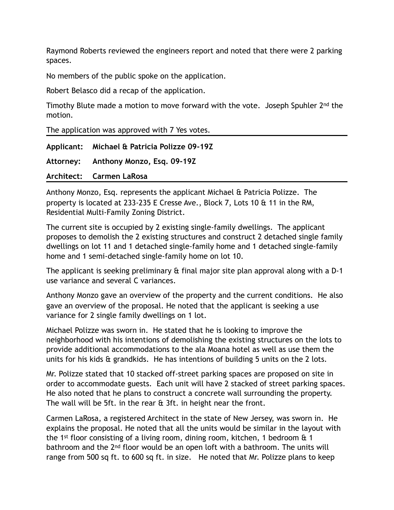Raymond Roberts reviewed the engineers report and noted that there were 2 parking spaces.

No members of the public spoke on the application.

Robert Belasco did a recap of the application.

Timothy Blute made a motion to move forward with the vote. Joseph Spuhler 2<sup>nd</sup> the motion.

The application was approved with 7 Yes votes.

| Applicant: Michael & Patricia Polizze 09-19Z |
|----------------------------------------------|
| Attorney: Anthony Monzo, Esg. 09-19Z         |
| Architect: Carmen LaRosa                     |

Anthony Monzo, Esq. represents the applicant Michael & Patricia Polizze. The property is located at 233-235 E Cresse Ave., Block 7, Lots 10 & 11 in the RM, Residential Multi-Family Zoning District.

The current site is occupied by 2 existing single-family dwellings. The applicant proposes to demolish the 2 existing structures and construct 2 detached single family dwellings on lot 11 and 1 detached single-family home and 1 detached single-family home and 1 semi-detached single-family home on lot 10.

The applicant is seeking preliminary & final major site plan approval along with a D-1 use variance and several C variances.

Anthony Monzo gave an overview of the property and the current conditions. He also gave an overview of the proposal. He noted that the applicant is seeking a use variance for 2 single family dwellings on 1 lot.

Michael Polizze was sworn in. He stated that he is looking to improve the neighborhood with his intentions of demolishing the existing structures on the lots to provide additional accommodations to the ala Moana hotel as well as use them the units for his kids & grandkids. He has intentions of building 5 units on the 2 lots.

Mr. Polizze stated that 10 stacked off-street parking spaces are proposed on site in order to accommodate guests. Each unit will have 2 stacked of street parking spaces. He also noted that he plans to construct a concrete wall surrounding the property. The wall will be 5ft. in the rear & 3ft. in height near the front.

Carmen LaRosa, a registered Architect in the state of New Jersey, was sworn in. He explains the proposal. He noted that all the units would be similar in the layout with the 1st floor consisting of a living room, dining room, kitchen, 1 bedroom & 1 bathroom and the 2nd floor would be an open loft with a bathroom. The units will range from 500 sq ft. to 600 sq ft. in size. He noted that Mr. Polizze plans to keep